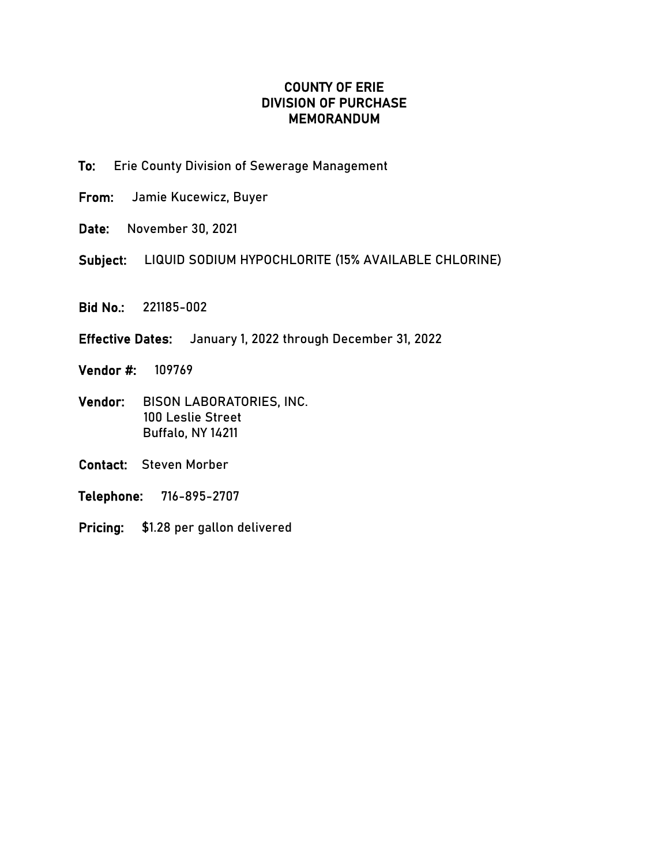## COUNTY OF ERIE DIVISION OF PURCHASE MEMORANDUM

- To: Erie County Division of Sewerage Management
- From: Jamie Kucewicz, Buyer
- Date: November 30, 2021
- Subject: LIQUID SODIUM HYPOCHLORITE (15% AVAILABLE CHLORINE)
- Bid No.: 221185-002
- Effective Dates: January 1, 2022 through December 31, 2022
- Vendor #: 109769
- Vendor: BISON LABORATORIES, INC. 100 Leslie Street Buffalo, NY 14211
- Contact: Steven Morber
- Telephone: 716-895-2707
- Pricing: \$1.28 per gallon delivered